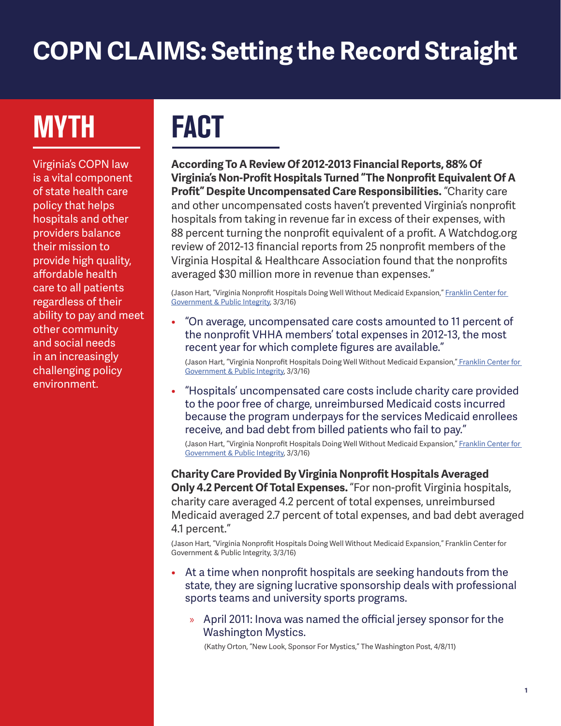## **COPN CLAIMS: Setting the Record Straight**

# **MYTH FACT**

Virginia's COPN law is a vital component of state health care policy that helps hospitals and other providers balance their mission to provide high quality, affordable health care to all patients regardless of their ability to pay and meet other community and social needs in an increasingly challenging policy environment.

**According To A Review Of 2012-2013 Financial Reports, 88% Of Virginia's Non-Profit Hospitals Turned "The Nonprofit Equivalent Of A Profit" Despite Uncompensated Care Responsibilities.** "Charity care and other uncompensated costs haven't prevented Virginia's nonprofit hospitals from taking in revenue far in excess of their expenses, with 88 percent turning the nonprofit equivalent of a profit. A Watchdog.org review of 2012-13 financial reports from 25 nonprofit members of the Virginia Hospital & Healthcare Association found that the nonprofits averaged \$30 million more in revenue than expenses."

(Jason Hart, "Virginia Nonprofit Hospitals Doing Well Without Medicaid Expansion," Franklin Center for Government & Public Integrity, 3/3/16)

• "On average, uncompensated care costs amounted to 11 percent of the nonprofit VHHA members' total expenses in 2012-13, the most recent year for which complete figures are available."

(Jason Hart, "Virginia Nonprofit Hospitals Doing Well Without Medicaid Expansion," Franklin Center for Government & Public Integrity, 3/3/16)

• "Hospitals' uncompensated care costs include charity care provided to the poor free of charge, unreimbursed Medicaid costs incurred because the program underpays for the services Medicaid enrollees receive, and bad debt from billed patients who fail to pay."

(Jason Hart, "Virginia Nonprofit Hospitals Doing Well Without Medicaid Expansion," Franklin Center for Government & Public Integrity, 3/3/16)

**Charity Care Provided By Virginia Nonprofit Hospitals Averaged Only 4.2 Percent Of Total Expenses.** "For non-profit Virginia hospitals, charity care averaged 4.2 percent of total expenses, unreimbursed Medicaid averaged 2.7 percent of total expenses, and bad debt averaged 4.1 percent."

(Jason Hart, "Virginia Nonprofit Hospitals Doing Well Without Medicaid Expansion," Franklin Center for Government & Public Integrity, 3/3/16)

- At a time when nonprofit hospitals are seeking handouts from the state, they are signing lucrative sponsorship deals with professional sports teams and university sports programs.
	- » April 2011: Inova was named the official jersey sponsor for the Washington Mystics.

(Kathy Orton, "New Look, Sponsor For Mystics," The Washington Post, 4/8/11)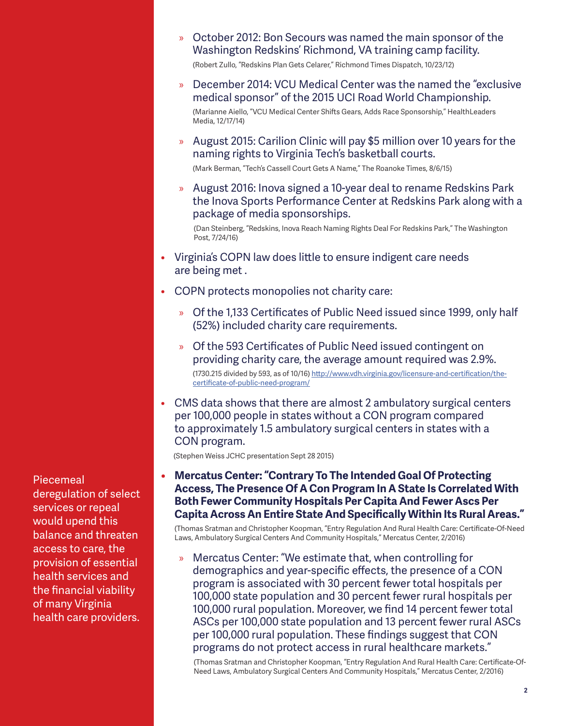» October 2012: Bon Secours was named the main sponsor of the Washington Redskins' Richmond, VA training camp facility.

(Robert Zullo, "Redskins Plan Gets Celarer," Richmond Times Dispatch, 10/23/12)

» December 2014: VCU Medical Center was the named the "exclusive medical sponsor" of the 2015 UCI Road World Championship.

(Marianne Aiello, "VCU Medical Center Shifts Gears, Adds Race Sponsorship," HealthLeaders Media, 12/17/14)

» August 2015: Carilion Clinic will pay \$5 million over 10 years for the naming rights to Virginia Tech's basketball courts.

(Mark Berman, "Tech's Cassell Court Gets A Name," The Roanoke Times, 8/6/15)

» August 2016: Inova signed a 10-year deal to rename Redskins Park the Inova Sports Performance Center at Redskins Park along with a package of media sponsorships.

(Dan Steinberg, "Redskins, Inova Reach Naming Rights Deal For Redskins Park," The Washington Post, 7/24/16)

- Virginia's COPN law does little to ensure indigent care needs are being met .
- COPN protects monopolies not charity care:
	- » Of the 1,133 Certificates of Public Need issued since 1999, only half (52%) included charity care requirements.
	- » Of the 593 Certificates of Public Need issued contingent on providing charity care, the average amount required was 2.9%. (1730.215 divided by 593, as of 10/16) http://www.vdh.virginia.gov/licensure-and-certification/thecertificate-of-public-need-program/
- CMS data shows that there are almost 2 ambulatory surgical centers per 100,000 people in states without a CON program compared to approximately 1.5 ambulatory surgical centers in states with a CON program.

(Stephen Weiss JCHC presentation Sept 28 2015)

**• Mercatus Center: "Contrary To The Intended Goal Of Protecting Access, The Presence Of A Con Program In A State Is Correlated With Both Fewer Community Hospitals Per Capita And Fewer Ascs Per Capita Across An Entire State And Specifically Within Its Rural Areas."**

(Thomas Sratman and Christopher Koopman, "Entry Regulation And Rural Health Care: Certificate-Of-Need Laws, Ambulatory Surgical Centers And Community Hospitals," Mercatus Center, 2/2016)

» Mercatus Center: "We estimate that, when controlling for demographics and year-specific effects, the presence of a CON program is associated with 30 percent fewer total hospitals per 100,000 state population and 30 percent fewer rural hospitals per 100,000 rural population. Moreover, we find 14 percent fewer total ASCs per 100,000 state population and 13 percent fewer rural ASCs per 100,000 rural population. These findings suggest that CON programs do not protect access in rural healthcare markets."

(Thomas Sratman and Christopher Koopman, "Entry Regulation And Rural Health Care: Certificate-Of-Need Laws, Ambulatory Surgical Centers And Community Hospitals," Mercatus Center, 2/2016)

Piecemeal deregulation of select services or repeal would upend this balance and threaten access to care, the provision of essential health services and the financial viability of many Virginia health care providers.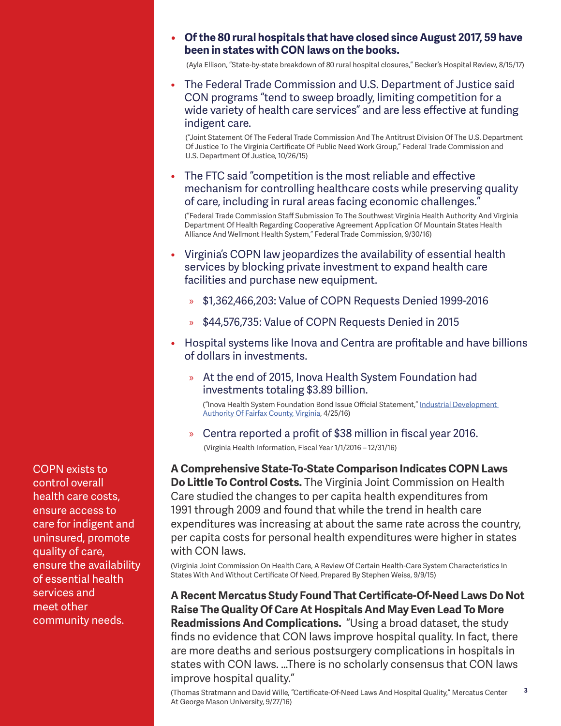### **• Of the 80 rural hospitals that have closed since August 2017, 59 have been in states with CON laws on the books.**

(Ayla Ellison, "State-by-state breakdown of 80 rural hospital closures," Becker's Hospital Review, 8/15/17)

• The Federal Trade Commission and U.S. Department of Justice said CON programs "tend to sweep broadly, limiting competition for a wide variety of health care services" and are less effective at funding indigent care.

("Joint Statement Of The Federal Trade Commission And The Antitrust Division Of The U.S. Department Of Justice To The Virginia Certificate Of Public Need Work Group," Federal Trade Commission and U.S. Department Of Justice, 10/26/15)

• The FTC said "competition is the most reliable and effective mechanism for controlling healthcare costs while preserving quality of care, including in rural areas facing economic challenges."

("Federal Trade Commission Staff Submission To The Southwest Virginia Health Authority And Virginia Department Of Health Regarding Cooperative Agreement Application Of Mountain States Health Alliance And Wellmont Health System," Federal Trade Commission, 9/30/16)

- Virginia's COPN law jeopardizes the availability of essential health services by blocking private investment to expand health care facilities and purchase new equipment.
	- » \$1,362,466,203: Value of COPN Requests Denied 1999-2016
	- » \$44,576,735: Value of COPN Requests Denied in 2015
- Hospital systems like Inova and Centra are profitable and have billions of dollars in investments.
	- » At the end of 2015, Inova Health System Foundation had investments totaling \$3.89 billion.

("Inova Health System Foundation Bond Issue Official Statement," Industrial Development Authority Of Fairfax County, Virginia, 4/25/16)

» Centra reported a profit of \$38 million in fiscal year 2016. (Virginia Health Information, Fiscal Year 1/1/2016 – 12/31/16)

**A Comprehensive State-To-State Comparison Indicates COPN Laws Do Little To Control Costs.** The Virginia Joint Commission on Health Care studied the changes to per capita health expenditures from 1991 through 2009 and found that while the trend in health care expenditures was increasing at about the same rate across the country, per capita costs for personal health expenditures were higher in states with CON laws.

(Virginia Joint Commission On Health Care, A Review Of Certain Health-Care System Characteristics In States With And Without Certificate Of Need, Prepared By Stephen Weiss, 9/9/15)

**A Recent Mercatus Study Found That Certificate-Of-Need Laws Do Not Raise The Quality Of Care At Hospitals And May Even Lead To More Readmissions And Complications.** "Using a broad dataset, the study finds no evidence that CON laws improve hospital quality. In fact, there are more deaths and serious postsurgery complications in hospitals in states with CON laws. …There is no scholarly consensus that CON laws improve hospital quality."

**3** (Thomas Stratmann and David Wille, "Certificate-Of-Need Laws And Hospital Quality," Mercatus Center At George Mason University, 9/27/16)

COPN exists to control overall health care costs, ensure access to care for indigent and uninsured, promote quality of care, ensure the availability of essential health services and meet other community needs.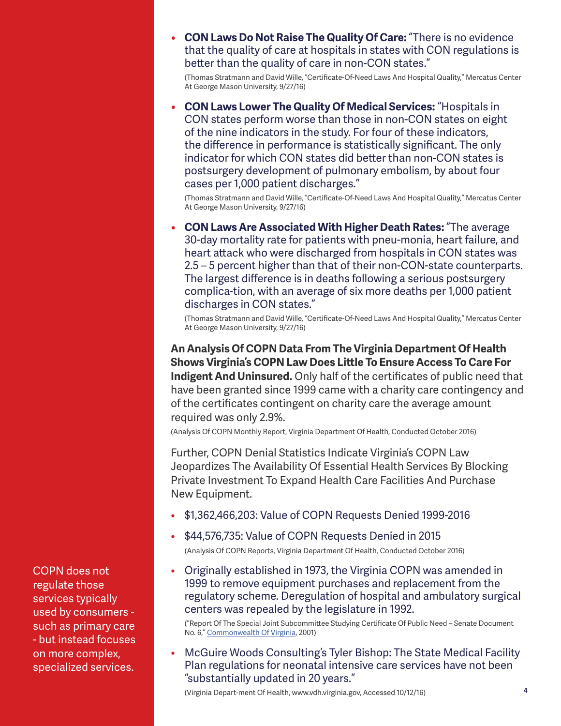**• CON Laws Do Not Raise The Quality Of Care:** "There is no evidence that the quality of care at hospitals in states with CON regulations is better than the quality of care in non-CON states."

(Thomas Stratmann and David Wille, "Certificate-Of-Need Laws And Hospital Quality," Mercatus Center At George Mason University, 9/27/16)

**• CON Laws Lower The Quality Of Medical Services:** "Hospitals in CON states perform worse than those in non-CON states on eight of the nine indicators in the study. For four of these indicators, the difference in performance is statistically significant. The only indicator for which CON states did better than non-CON states is postsurgery development of pulmonary embolism, by about four cases per 1,000 patient discharges."

(Thomas Stratmann and David Wille, "Certificate-Of-Need Laws And Hospital Quality," Mercatus Center At George Mason University, 9/27/16)

**• CON Laws Are Associated With Higher Death Rates:** "The average 30-day mortality rate for patients with pneu-monia, heart failure, and heart attack who were discharged from hospitals in CON states was 2.5 – 5 percent higher than that of their non-CON-state counterparts. The largest difference is in deaths following a serious postsurgery complica-tion, with an average of six more deaths per 1,000 patient discharges in CON states."

(Thomas Stratmann and David Wille, "Certificate-Of-Need Laws And Hospital Quality," Mercatus Center At George Mason University, 9/27/16)

**An Analysis Of COPN Data From The Virginia Department Of Health Shows Virginia's COPN Law Does Little To Ensure Access To Care For Indigent And Uninsured.** Only half of the certificates of public need that have been granted since 1999 came with a charity care contingency and of the certificates contingent on charity care the average amount required was only 2.9%.

(Analysis Of COPN Monthly Report, Virginia Department Of Health, Conducted October 2016)

Further, COPN Denial Statistics Indicate Virginia's COPN Law Jeopardizes The Availability Of Essential Health Services By Blocking Private Investment To Expand Health Care Facilities And Purchase New Equipment.

- \$1,362,466,203: Value of COPN Requests Denied 1999-2016
- \$44,576,735: Value of COPN Requests Denied in 2015 (Analysis Of COPN Reports, Virginia Department Of Health, Conducted October 2016)
- Originally established in 1973, the Virginia COPN was amended in 1999 to remove equipment purchases and replacement from the regulatory scheme. Deregulation of hospital and ambulatory surgical centers was repealed by the legislature in 1992.

("Report Of The Special Joint Subcommittee Studying Certificate Of Public Need – Senate Document No. 6," Commonwealth Of Virginia, 2001)

• McGuire Woods Consulting's Tyler Bishop: The State Medical Facility Plan regulations for neonatal intensive care services have not been "substantially updated in 20 years."

(Virginia Depart-ment Of Health, www.vdh.virginia.gov, Accessed 10/12/16)

COPN does not regulate those services typically used by consumers such as primary care - but instead focuses on more complex, specialized services.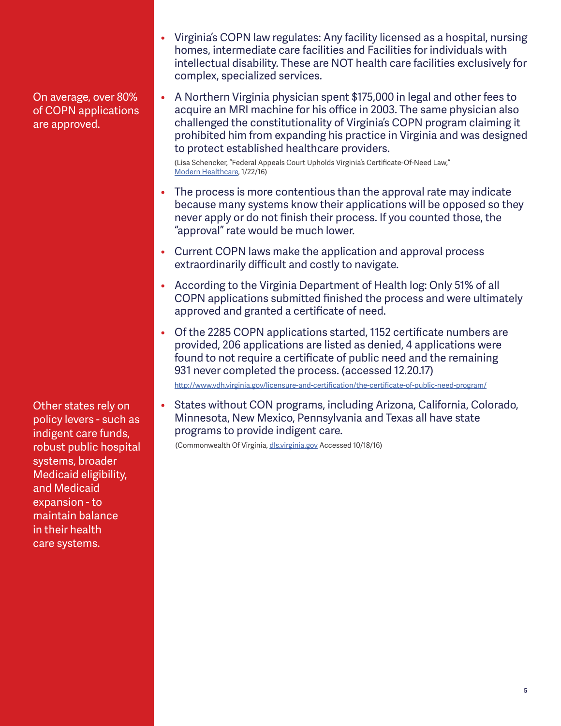On average, over 80% of COPN applications are approved.

• A Northern Virginia physician spent \$175,000 in legal and other fees to acquire an MRI machine for his office in 2003. The same physician also challenged the constitutionality of Virginia's COPN program claiming it prohibited him from expanding his practice in Virginia and was designed to protect established healthcare providers.

• Virginia's COPN law regulates: Any facility licensed as a hospital, nursing homes, intermediate care facilities and Facilities for individuals with intellectual disability. These are NOT health care facilities exclusively for

(Lisa Schencker, "Federal Appeals Court Upholds Virginia's Certificate-Of-Need Law," Modern Healthcare, 1/22/16)

complex, specialized services.

- The process is more contentious than the approval rate may indicate because many systems know their applications will be opposed so they never apply or do not finish their process. If you counted those, the "approval" rate would be much lower.
- Current COPN laws make the application and approval process extraordinarily difficult and costly to navigate.
- According to the Virginia Department of Health log: Only 51% of all COPN applications submitted finished the process and were ultimately approved and granted a certificate of need.
- Of the 2285 COPN applications started, 1152 certificate numbers are provided, 206 applications are listed as denied, 4 applications were found to not require a certificate of public need and the remaining 931 never completed the process. (accessed 12.20.17)

http://www.vdh.virginia.gov/licensure-and-certification/the-certificate-of-public-need-program/

• States without CON programs, including Arizona, California, Colorado, Minnesota, New Mexico, Pennsylvania and Texas all have state programs to provide indigent care.

(Commonwealth Of Virginia, dls.virginia.gov Accessed 10/18/16)

Other states rely on policy levers - such as indigent care funds, robust public hospital systems, broader Medicaid eligibility, and Medicaid expansion - to maintain balance in their health care systems.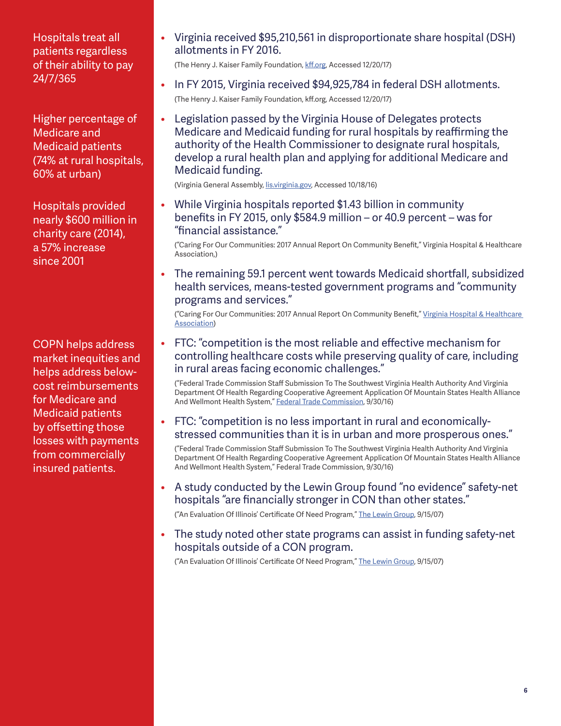Hospitals treat all patients regardless of their ability to pay 24/7/365

Higher percentage of Medicare and Medicaid patients (74% at rural hospitals, 60% at urban)

Hospitals provided nearly \$600 million in charity care (2014), a 57% increase since 2001

COPN helps address market inequities and helps address belowcost reimbursements for Medicare and Medicaid patients by offsetting those losses with payments from commercially insured patients.

• Virginia received \$95,210,561 in disproportionate share hospital (DSH) allotments in FY 2016.

(The Henry J. Kaiser Family Foundation, kff.org, Accessed 12/20/17)

- In FY 2015, Virginia received \$94,925,784 in federal DSH allotments. (The Henry J. Kaiser Family Foundation, kff.org, Accessed 12/20/17)
- Legislation passed by the Virginia House of Delegates protects Medicare and Medicaid funding for rural hospitals by reaffirming the authority of the Health Commissioner to designate rural hospitals, develop a rural health plan and applying for additional Medicare and Medicaid funding.

(Virginia General Assembly, lis.virginia.gov, Accessed 10/18/16)

• While Virginia hospitals reported \$1.43 billion in community benefits in FY 2015, only \$584.9 million – or 40.9 percent – was for "financial assistance."

("Caring For Our Communities: 2017 Annual Report On Community Benefit," Virginia Hospital & Healthcare Association,)

• The remaining 59.1 percent went towards Medicaid shortfall, subsidized health services, means-tested government programs and "community programs and services."

("Caring For Our Communities: 2017 Annual Report On Community Benefit," Virginia Hospital & Healthcare Association)

• FTC: "competition is the most reliable and effective mechanism for controlling healthcare costs while preserving quality of care, including in rural areas facing economic challenges."

("Federal Trade Commission Staff Submission To The Southwest Virginia Health Authority And Virginia Department Of Health Regarding Cooperative Agreement Application Of Mountain States Health Alliance And Wellmont Health System," Federal Trade Commission, 9/30/16)

• FTC: "competition is no less important in rural and economicallystressed communities than it is in urban and more prosperous ones."

("Federal Trade Commission Staff Submission To The Southwest Virginia Health Authority And Virginia Department Of Health Regarding Cooperative Agreement Application Of Mountain States Health Alliance And Wellmont Health System," Federal Trade Commission, 9/30/16)

• A study conducted by the Lewin Group found "no evidence" safety-net hospitals "are financially stronger in CON than other states."

("An Evaluation Of Illinois' Certificate Of Need Program," The Lewin Group, 9/15/07)

• The study noted other state programs can assist in funding safety-net hospitals outside of a CON program.

("An Evaluation Of Illinois' Certificate Of Need Program," The Lewin Group, 9/15/07)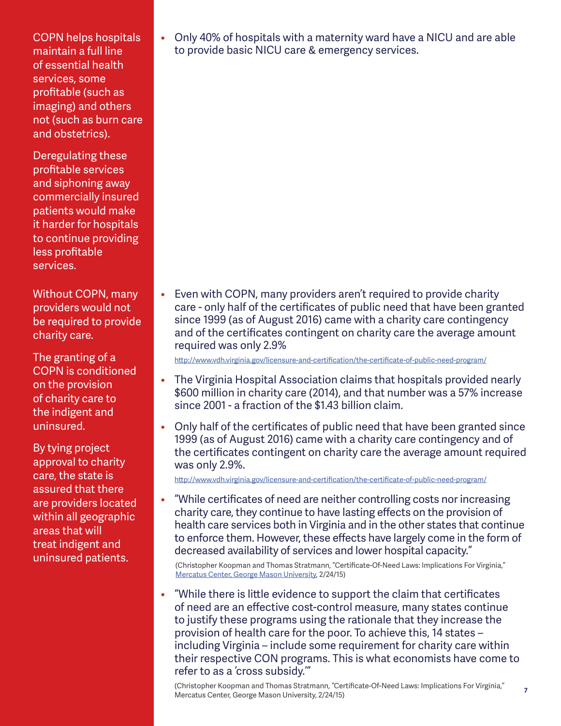COPN helps hospitals maintain a full line of essential health services, some profitable (such as imaging) and others not (such as burn care and obstetrics).

Deregulating these profitable services and siphoning away commercially insured patients would make it harder for hospitals to continue providing less profitable services.

Without COPN, many providers would not be required to provide charity care.

The granting of a COPN is conditioned on the provision of charity care to the indigent and uninsured.

By tying project approval to charity care, the state is assured that there are providers located within all geographic areas that will treat indigent and uninsured patients.

• Only 40% of hospitals with a maternity ward have a NICU and are able to provide basic NICU care & emergency services.

• Even with COPN, many providers aren't required to provide charity care - only half of the certificates of public need that have been granted since 1999 (as of August 2016) came with a charity care contingency and of the certificates contingent on charity care the average amount required was only 2.9%

http://www.vdh.virginia.gov/licensure-and-certification/the-certificate-of-public-need-program/

- The Virginia Hospital Association claims that hospitals provided nearly \$600 million in charity care (2014), and that number was a 57% increase since 2001 - a fraction of the \$1.43 billion claim.
- Only half of the certificates of public need that have been granted since 1999 (as of August 2016) came with a charity care contingency and of the certificates contingent on charity care the average amount required was only 2.9%.

http://www.vdh.virginia.gov/licensure-and-certification/the-certificate-of-public-need-program/

• "While certificates of need are neither controlling costs nor increasing charity care, they continue to have lasting effects on the provision of health care services both in Virginia and in the other states that continue to enforce them. However, these effects have largely come in the form of decreased availability of services and lower hospital capacity."

(Christopher Koopman and Thomas Stratmann, "Certificate-Of-Need Laws: Implications For Virginia," Mercatus Center, George Mason University, 2/24/15)

• "While there is little evidence to support the claim that certificates of need are an effective cost-control measure, many states continue to justify these programs using the rationale that they increase the provision of health care for the poor. To achieve this, 14 states – including Virginia – include some requirement for charity care within their respective CON programs. This is what economists have come to refer to as a 'cross subsidy.'"

(Christopher Koopman and Thomas Stratmann, "Certificate-Of-Need Laws: Implications For Virginia," Mercatus Center, George Mason University, 2/24/15)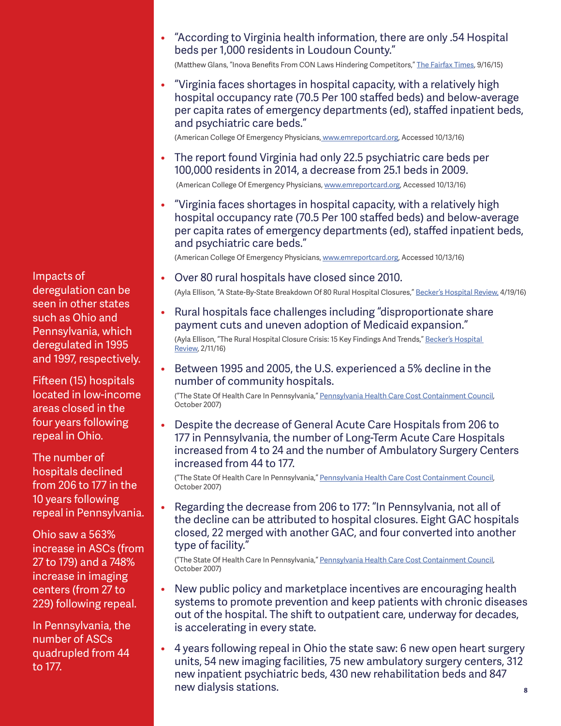Impacts of deregulation can be seen in other states such as Ohio and Pennsylvania, which deregulated in 1995 and 1997, respectively.

Fifteen (15) hospitals located in low-income areas closed in the four years following repeal in Ohio.

The number of hospitals declined from 206 to 177 in the 10 years following repeal in Pennsylvania.

Ohio saw a 563% increase in ASCs (from 27 to 179) and a 748% increase in imaging centers (from 27 to 229) following repeal.

In Pennsylvania, the number of ASCs quadrupled from 44 to 177.

• "According to Virginia health information, there are only .54 Hospital beds per 1,000 residents in Loudoun County."

(Matthew Glans, "Inova Benefits From CON Laws Hindering Competitors," The Fairfax Times, 9/16/15)

• "Virginia faces shortages in hospital capacity, with a relatively high hospital occupancy rate (70.5 Per 100 staffed beds) and below-average per capita rates of emergency departments (ed), staffed inpatient beds, and psychiatric care beds."

(American College Of Emergency Physicians, www.emreportcard.org, Accessed 10/13/16)

• The report found Virginia had only 22.5 psychiatric care beds per 100,000 residents in 2014, a decrease from 25.1 beds in 2009.

(American College Of Emergency Physicians, www.emreportcard.org, Accessed 10/13/16)

• "Virginia faces shortages in hospital capacity, with a relatively high hospital occupancy rate (70.5 Per 100 staffed beds) and below-average per capita rates of emergency departments (ed), staffed inpatient beds, and psychiatric care beds."

(American College Of Emergency Physicians, www.emreportcard.org, Accessed 10/13/16)

• Over 80 rural hospitals have closed since 2010.

(Ayla Ellison, "A State-By-State Breakdown Of 80 Rural Hospital Closures," Becker's Hospital Review, 4/19/16)

• Rural hospitals face challenges including "disproportionate share payment cuts and uneven adoption of Medicaid expansion."

(Ayla Ellison, "The Rural Hospital Closure Crisis: 15 Key Findings And Trends," Becker's Hospital Review, 2/11/16)

• Between 1995 and 2005, the U.S. experienced a 5% decline in the number of community hospitals.

("The State Of Health Care In Pennsylvania," Pennsylvania Health Care Cost Containment Council, October 2007)

• Despite the decrease of General Acute Care Hospitals from 206 to 177 in Pennsylvania, the number of Long-Term Acute Care Hospitals increased from 4 to 24 and the number of Ambulatory Surgery Centers increased from 44 to 177.

("The State Of Health Care In Pennsylvania," Pennsylvania Health Care Cost Containment Council, October 2007)

• Regarding the decrease from 206 to 177: "In Pennsylvania, not all of the decline can be attributed to hospital closures. Eight GAC hospitals closed, 22 merged with another GAC, and four converted into another type of facility."

("The State Of Health Care In Pennsylvania," Pennsylvania Health Care Cost Containment Council, October 2007)

- New public policy and marketplace incentives are encouraging health systems to promote prevention and keep patients with chronic diseases out of the hospital. The shift to outpatient care, underway for decades, is accelerating in every state.
- **8** • 4 years following repeal in Ohio the state saw: 6 new open heart surgery units, 54 new imaging facilities, 75 new ambulatory surgery centers, 312 new inpatient psychiatric beds, 430 new rehabilitation beds and 847 new dialysis stations.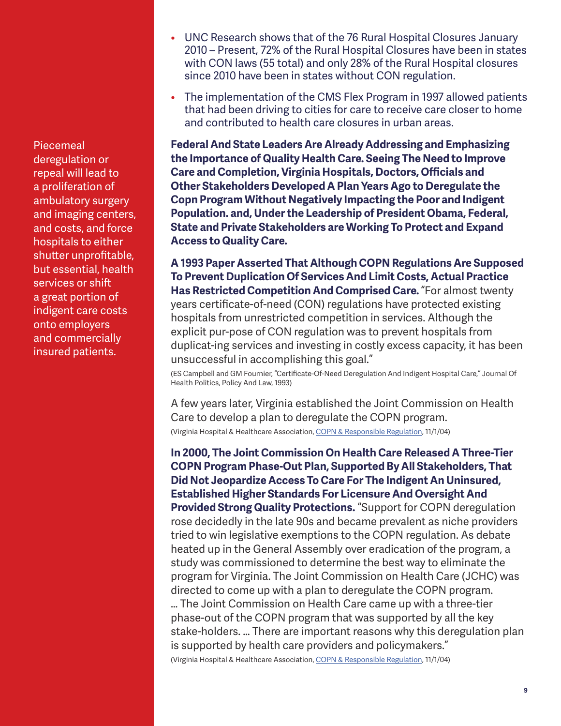Piecemeal deregulation or repeal will lead to a proliferation of ambulatory surgery and imaging centers, and costs, and force hospitals to either shutter unprofitable, but essential, health services or shift a great portion of indigent care costs onto employers and commercially insured patients.

- UNC Research shows that of the 76 Rural Hospital Closures January 2010 – Present, 72% of the Rural Hospital Closures have been in states with CON laws (55 total) and only 28% of the Rural Hospital closures since 2010 have been in states without CON regulation.
- The implementation of the CMS Flex Program in 1997 allowed patients that had been driving to cities for care to receive care closer to home and contributed to health care closures in urban areas.

**Federal And State Leaders Are Already Addressing and Emphasizing the Importance of Quality Health Care. Seeing The Need to Improve Care and Completion, Virginia Hospitals, Doctors, Officials and Other Stakeholders Developed A Plan Years Ago to Deregulate the Copn Program Without Negatively Impacting the Poor and Indigent Population. and, Under the Leadership of President Obama, Federal, State and Private Stakeholders are Working To Protect and Expand Access to Quality Care.** 

**A 1993 Paper Asserted That Although COPN Regulations Are Supposed To Prevent Duplication Of Services And Limit Costs, Actual Practice Has Restricted Competition And Comprised Care.** "For almost twenty years certificate-of-need (CON) regulations have protected existing hospitals from unrestricted competition in services. Although the explicit pur-pose of CON regulation was to prevent hospitals from duplicat-ing services and investing in costly excess capacity, it has been unsuccessful in accomplishing this goal."

(ES Campbell and GM Fournier, "Certificate-Of-Need Deregulation And Indigent Hospital Care," Journal Of Health Politics, Policy And Law, 1993)

A few years later, Virginia established the Joint Commission on Health Care to develop a plan to deregulate the COPN program. (Virginia Hospital & Healthcare Association, COPN & Responsible Regulation, 11/1/04)

**In 2000, The Joint Commission On Health Care Released A Three-Tier COPN Program Phase-Out Plan, Supported By All Stakeholders, That Did Not Jeopardize Access To Care For The Indigent An Uninsured, Established Higher Standards For Licensure And Oversight And Provided Strong Quality Protections.** "Support for COPN deregulation rose decidedly in the late 90s and became prevalent as niche providers tried to win legislative exemptions to the COPN regulation. As debate heated up in the General Assembly over eradication of the program, a study was commissioned to determine the best way to eliminate the program for Virginia. The Joint Commission on Health Care (JCHC) was directed to come up with a plan to deregulate the COPN program.

… The Joint Commission on Health Care came up with a three-tier phase-out of the COPN program that was supported by all the key stake-holders. … There are important reasons why this deregulation plan is supported by health care providers and policymakers."

(Virginia Hospital & Healthcare Association, COPN & Responsible Regulation, 11/1/04)